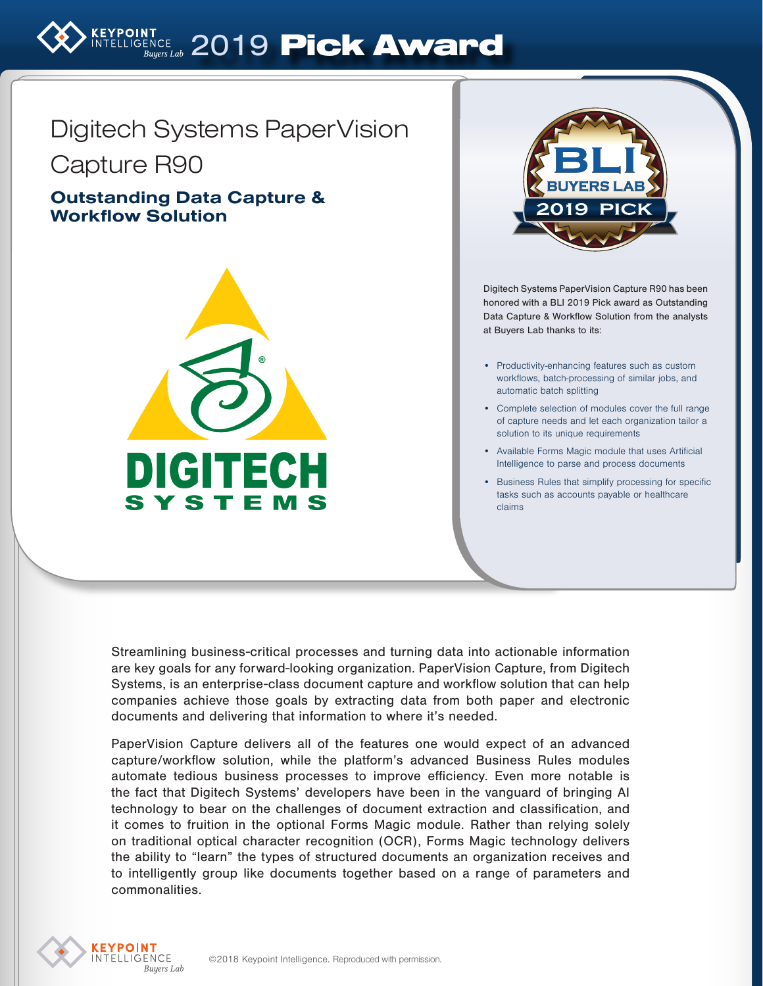

# Digitech Systems PaperVision

Capture R90

## Outstanding Data Capture & Workflow Solution





Digitech Systems PaperVision Capture R90 has been honored with a BLI 2019 Pick award as Outstanding Data Capture & Workflow Solution from the analysts at Buyers Lab thanks to its:

- Productivity-enhancing features such as custom workflows, batch-processing of similar jobs, and automatic batch splitting
- Complete selection of modules cover the full range of capture needs and let each organization tailor a solution to its unique requirements
- Available Forms Magic module that uses Artificial Intelligence to parse and process documents
- Business Rules that simplify processing for specific tasks such as accounts payable or healthcare claims

Streamlining business-critical processes and turning data into actionable information are key goals for any forward-looking organization. PaperVision Capture, from Digitech Systems, is an enterprise-class document capture and workflow solution that can help companies achieve those goals by extracting data from both paper and electronic documents and delivering that information to where it's needed.

PaperVision Capture delivers all of the features one would expect of an advanced capture/workflow solution, while the platform's advanced Business Rules modules automate tedious business processes to improve efficiency. Even more notable is the fact that Digitech Systems' developers have been in the vanguard of bringing AI technology to bear on the challenges of document extraction and classification, and it comes to fruition in the optional Forms Magic module. Rather than relying solely on traditional optical character recognition (OCR), Forms Magic technology delivers the ability to "learn" the types of structured documents an organization receives and to intelligently group like documents together based on a range of parameters and commonalities.